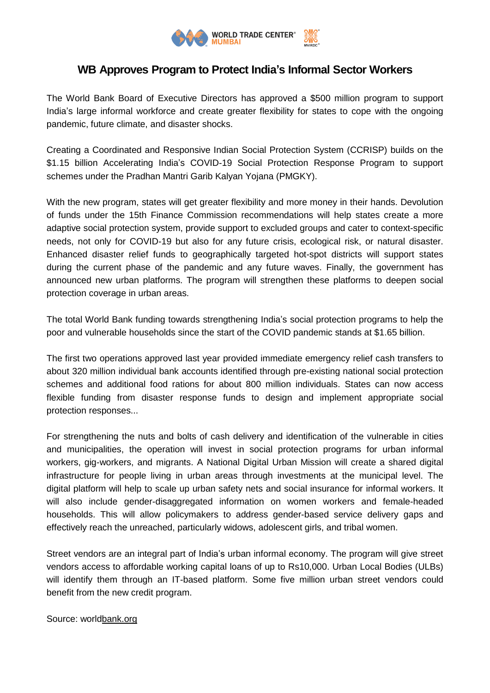

## **WB Approves Program to Protect India's Informal Sector Workers**

The World Bank Board of Executive Directors has approved a \$500 million program to support India's large informal workforce and create greater flexibility for states to cope with the ongoing pandemic, future climate, and disaster shocks.

Creating a Coordinated and Responsive Indian Social Protection System (CCRISP) builds on the \$1.15 billion Accelerating India's COVID-19 Social Protection Response Program to support schemes under the Pradhan Mantri Garib Kalyan Yojana (PMGKY).

With the new program, states will get greater flexibility and more money in their hands. Devolution of funds under the 15th Finance Commission recommendations will help states create a more adaptive social protection system, provide support to excluded groups and cater to context-specific needs, not only for COVID-19 but also for any future crisis, ecological risk, or natural disaster. Enhanced disaster relief funds to geographically targeted hot-spot districts will support states during the current phase of the pandemic and any future waves. Finally, the government has announced new urban platforms. The program will strengthen these platforms to deepen social protection coverage in urban areas.

The total World Bank funding towards strengthening India's social protection programs to help the poor and vulnerable households since the start of the COVID pandemic stands at \$1.65 billion.

The first two operations approved last year provided immediate emergency relief cash transfers to about 320 million individual bank accounts identified through pre-existing national social protection schemes and additional food rations for about 800 million individuals. States can now access flexible funding from disaster response funds to design and implement appropriate social protection responses...

For strengthening the nuts and bolts of cash delivery and identification of the vulnerable in cities and municipalities, the operation will invest in social protection programs for urban informal workers, gig-workers, and migrants. A National Digital Urban Mission will create a shared digital infrastructure for people living in urban areas through investments at the municipal level. The digital platform will help to scale up urban safety nets and social insurance for informal workers. It will also include gender-disaggregated information on women workers and female-headed households. This will allow policymakers to address gender-based service delivery gaps and effectively reach the unreached, particularly widows, adolescent girls, and tribal women.

Street vendors are an integral part of India's urban informal economy. The program will give street vendors access to affordable working capital loans of up to Rs10,000. Urban Local Bodies (ULBs) will identify them through an IT-based platform. Some five million urban street vendors could benefit from the new credit program.

Source: worl[dbank.org](http://bank.org/)